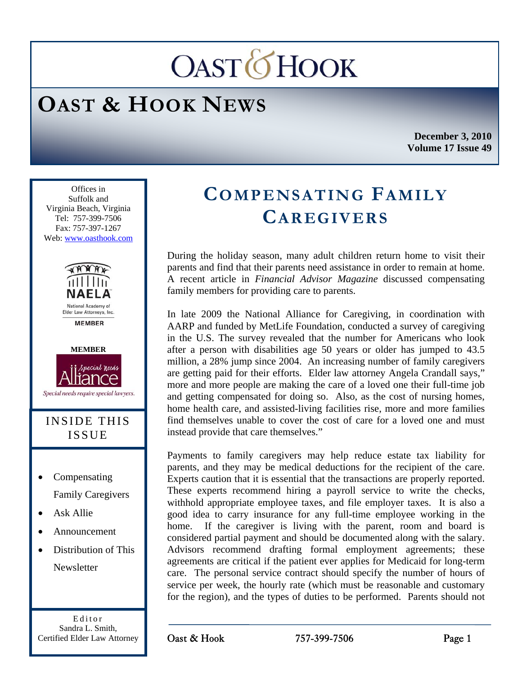# **OASTOHOOK**

## **OAST & HOOK NEWS**

**December 3, 2010 Volume 17 Issue 49** 

Ī Offices in Suffolk and Virginia Beach, Virginia Tel: 757-399-7506 Fax: 757-397-1267 Web: www.oasthook.com



Elder Law Attorneys, Inc. **MEMRER** 



Special needs require special lawyers.

#### INSIDE THIS ISSUE

- Compensating Family Caregivers
- Ask Allie
- Announcement
- Distribution of This **Newsletter**

Editor Sandra L. Smith, Certified Elder Law Attorney

### **COMPENSATING FAMILY CAREGIVERS**

During the holiday season, many adult children return home to visit their parents and find that their parents need assistance in order to remain at home. A recent article in *Financial Advisor Magazine* discussed compensating family members for providing care to parents.

In late 2009 the National Alliance for Caregiving, in coordination with AARP and funded by MetLife Foundation, conducted a survey of caregiving in the U.S. The survey revealed that the number for Americans who look after a person with disabilities age 50 years or older has jumped to 43.5 million, a 28% jump since 2004. An increasing number of family caregivers are getting paid for their efforts. Elder law attorney Angela Crandall says," more and more people are making the care of a loved one their full-time job and getting compensated for doing so. Also, as the cost of nursing homes, home health care, and assisted-living facilities rise, more and more families find themselves unable to cover the cost of care for a loved one and must instead provide that care themselves."

Payments to family caregivers may help reduce estate tax liability for parents, and they may be medical deductions for the recipient of the care. Experts caution that it is essential that the transactions are properly reported. These experts recommend hiring a payroll service to write the checks, withhold appropriate employee taxes, and file employer taxes. It is also a good idea to carry insurance for any full-time employee working in the home. If the caregiver is living with the parent, room and board is considered partial payment and should be documented along with the salary. Advisors recommend drafting formal employment agreements; these agreements are critical if the patient ever applies for Medicaid for long-term care. The personal service contract should specify the number of hours of service per week, the hourly rate (which must be reasonable and customary for the region), and the types of duties to be performed. Parents should not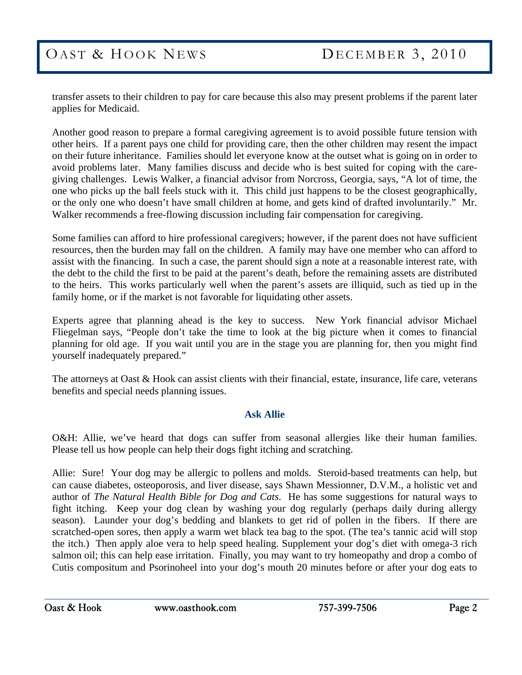transfer assets to their children to pay for care because this also may present problems if the parent later applies for Medicaid.

Another good reason to prepare a formal caregiving agreement is to avoid possible future tension with other heirs. If a parent pays one child for providing care, then the other children may resent the impact on their future inheritance. Families should let everyone know at the outset what is going on in order to avoid problems later. Many families discuss and decide who is best suited for coping with the caregiving challenges. Lewis Walker, a financial advisor from Norcross, Georgia, says, "A lot of time, the one who picks up the ball feels stuck with it. This child just happens to be the closest geographically, or the only one who doesn't have small children at home, and gets kind of drafted involuntarily." Mr. Walker recommends a free-flowing discussion including fair compensation for caregiving.

Some families can afford to hire professional caregivers; however, if the parent does not have sufficient resources, then the burden may fall on the children. A family may have one member who can afford to assist with the financing. In such a case, the parent should sign a note at a reasonable interest rate, with the debt to the child the first to be paid at the parent's death, before the remaining assets are distributed to the heirs. This works particularly well when the parent's assets are illiquid, such as tied up in the family home, or if the market is not favorable for liquidating other assets.

Experts agree that planning ahead is the key to success. New York financial advisor Michael Fliegelman says, "People don't take the time to look at the big picture when it comes to financial planning for old age. If you wait until you are in the stage you are planning for, then you might find yourself inadequately prepared."

The attorneys at Oast & Hook can assist clients with their financial, estate, insurance, life care, veterans benefits and special needs planning issues.

#### **Ask Allie**

O&H: Allie, we've heard that dogs can suffer from seasonal allergies like their human families. Please tell us how people can help their dogs fight itching and scratching.

Allie: Sure! Your dog may be allergic to pollens and molds. Steroid-based treatments can help, but can cause diabetes, osteoporosis, and liver disease, says Shawn Messionner, D.V.M., a holistic vet and author of *The Natural Health Bible for Dog and Cats*. He has some suggestions for natural ways to fight itching. Keep your dog clean by washing your dog regularly (perhaps daily during allergy season). Launder your dog's bedding and blankets to get rid of pollen in the fibers. If there are scratched-open sores, then apply a warm wet black tea bag to the spot. (The tea's tannic acid will stop the itch.) Then apply aloe vera to help speed healing. Supplement your dog's diet with omega-3 rich salmon oil; this can help ease irritation. Finally, you may want to try homeopathy and drop a combo of Cutis compositum and Psorinoheel into your dog's mouth 20 minutes before or after your dog eats to